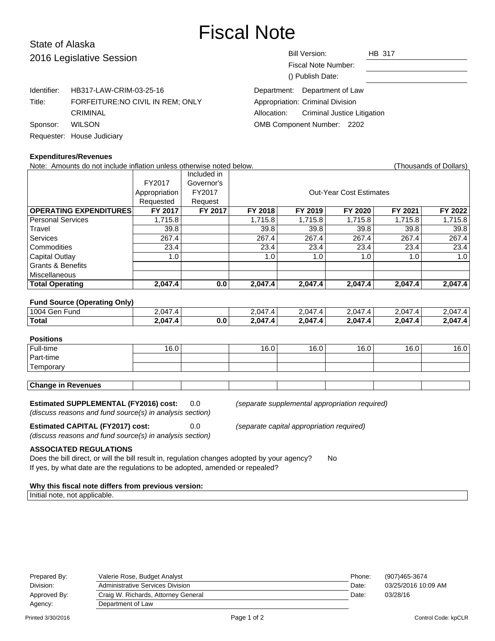# Fiscal Note

# State of Alaska 2016 Legislative Session

| 2016 Legislative Session |                                  | <b>Bill Version:</b><br><b>HB 317</b><br>Fiscal Note Number:<br>() Publish Date: |
|--------------------------|----------------------------------|----------------------------------------------------------------------------------|
| Identifier:              | HB317-LAW-CRIM-03-25-16          | Department: Department of Law                                                    |
| Title:                   | FORFEITURE:NO CIVIL IN REM; ONLY | Appropriation: Criminal Division                                                 |
|                          | <b>CRIMINAL</b>                  | Criminal Justice Litigation<br>Allocation:                                       |
| Sponsor:                 | <b>WILSON</b>                    | OMB Component Number: 2202                                                       |
|                          | Requester: House Judiciary       |                                                                                  |

| Sponsor: WILSON |                            |
|-----------------|----------------------------|
|                 | Requester: House Judiciary |

## **Expenditures/Revenues**

Note: Amounts do not include inflation unless otherwise noted below. Thousands of Dollars) (Thousands of Dollars) Included in FY2017 Governor's Appropriation FY2017 | COUL-Year Cost Estimates Requested Request **OPERATING EXPENDITURES FY 2017 FY 2017 FY 2018 FY 2019 FY 2020 FY 2021 FY 2022** Personal Services 1,715.8 1,715.8 1,715.8 1,715.8 1,715.8 1,715.8 1,715.8 1,715.8 Travel | 39.8 | 39.8 | 39.8 | 39.8 | 39.8 Services | 267.4 | | 267.4 | 267.4 | 267.4 | 267.4 | 267.4 Commodities 23.4 23.4 23.4 23.4 23.4 23.4 Capital Outlay | 1.0 | | 1.0 | 1.0 | 1.0 | 1.0 | Grants & Benefits Miscellaneous **Total Operating 2,047.4 0.0 2,047.4 2,047.4 2,047.4 2,047.4 2,047.4 Fund Source (Operating Only)** 1004 Gen Fund 2,047.4 2,047.4 2,047.4 2,047.4 2,047.4 2,047.4 **Total 2,047.4 0.0 2,047.4 2,047.4 2,047.4 2,047.4 2,047.4**

# **Positions** Full-time | 16.0 | | 16.0 | 16.0 | 16.0 | 16.0 | 16.0 Part-time **Temporary Change in Revenues**

**Estimated SUPPLEMENTAL (FY2016) cost:** 0.0 (separate supplemental appropriation required) (discuss reasons and fund source(s) in analysis section)

**Estimated CAPITAL (FY2017) cost:** 0.0 (separate capital appropriation required) (discuss reasons and fund source(s) in analysis section)

**ASSOCIATED REGULATIONS**

Does the bill direct, or will the bill result in, regulation changes adopted by your agency? No If yes, by what date are the regulations to be adopted, amended or repealed?

#### **Why this fiscal note differs from previous version:**

Initial note, not applicable.

| Prepared By: | Valerie Rose, Budget Analyst        | Phone: | (907)465-3674       |
|--------------|-------------------------------------|--------|---------------------|
| Division:    | Administrative Services Division    | Date:  | 03/25/2016 10:09 AM |
| Approved By: | Craig W. Richards, Attorney General | Date:  | 03/28/16            |
| Agency:      | Department of Law                   |        |                     |